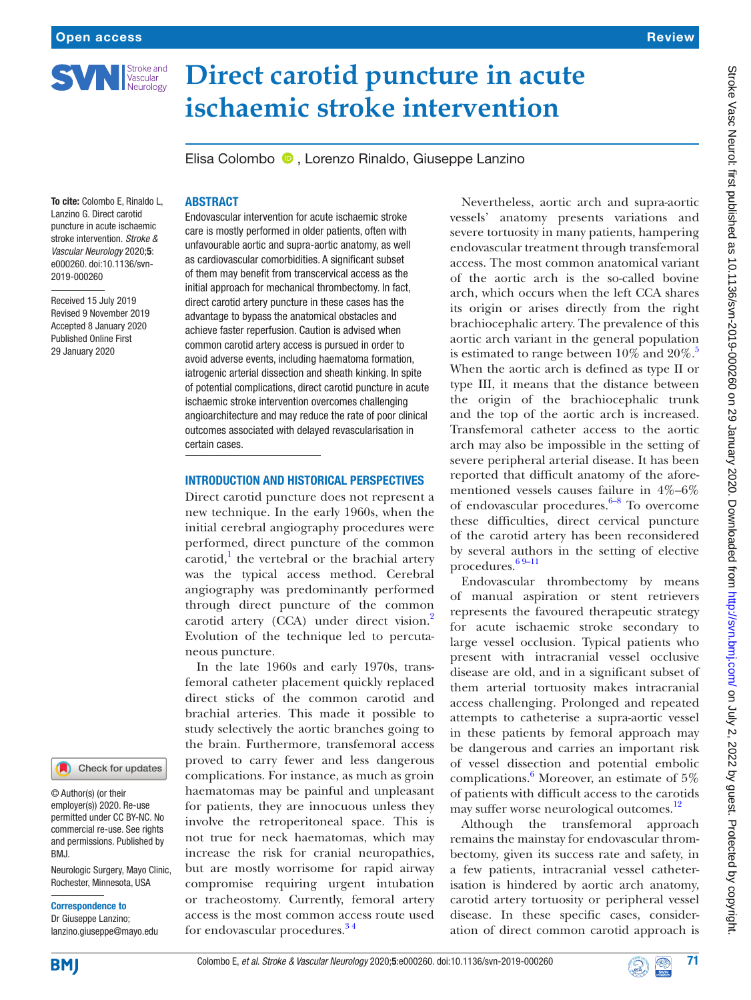

# **Direct carotid puncture in acute ischaemic stroke intervention**

ElisaColombo <sup>®</sup>. Lorenzo Rinaldo, Giuseppe Lanzino

To cite: Colombo E, Rinaldo L, Lanzino G. Direct carotid puncture in acute ischaemic stroke intervention. *Stroke & Vascular Neurology* 2020;5: e000260. doi:10.1136/svn-2019-000260

**ABSTRACT** 

Received 15 July 2019 Revised 9 November 2019 Accepted 8 January 2020 Published Online First 29 January 2020

#### Check for updates

© Author(s) (or their employer(s)) 2020. Re-use permitted under CC BY-NC. No commercial re-use. See rights and permissions. Published by BMJ.

Neurologic Surgery, Mayo Clinic, Rochester, Minnesota, USA

Correspondence to

Dr Giuseppe Lanzino; lanzino.giuseppe@mayo.edu

## Endovascular intervention for acute ischaemic stroke care is mostly performed in older patients, often with unfavourable aortic and supra-aortic anatomy, as well as cardiovascular comorbidities. A significant subset of them may benefit from transcervical access as the initial approach for mechanical thrombectomy. In fact, direct carotid artery puncture in these cases has the advantage to bypass the anatomical obstacles and achieve faster reperfusion. Caution is advised when common carotid artery access is pursued in order to avoid adverse events, including haematoma formation, iatrogenic arterial dissection and sheath kinking. In spite of potential complications, direct carotid puncture in acute ischaemic stroke intervention overcomes challenging angioarchitecture and may reduce the rate of poor clinical outcomes associated with delayed revascularisation in certain cases.

## Introduction and historical perspectives

Direct carotid puncture does not represent a new technique. In the early 1960s, when the initial cerebral angiography procedures were performed, direct puncture of the common carotid, $\frac{1}{1}$  the vertebral or the brachial artery was the typical access method. Cerebral angiography was predominantly performed through direct puncture of the common carotid artery (CCA) under direct vision.<sup>2</sup> Evolution of the technique led to percutaneous puncture.

In the late 1960s and early 1970s, transfemoral catheter placement quickly replaced direct sticks of the common carotid and brachial arteries. This made it possible to study selectively the aortic branches going to the brain. Furthermore, transfemoral access proved to carry fewer and less dangerous complications. For instance, as much as groin haematomas may be painful and unpleasant for patients, they are innocuous unless they involve the retroperitoneal space. This is not true for neck haematomas, which may increase the risk for cranial neuropathies, but are mostly worrisome for rapid airway compromise requiring urgent intubation or tracheostomy. Currently, femoral artery access is the most common access route used for endovascular procedures.<sup>34</sup>

Nevertheless, aortic arch and supra-aortic vessels' anatomy presents variations and severe tortuosity in many patients, hampering endovascular treatment through transfemoral access. The most common anatomical variant of the aortic arch is the so-called bovine arch, which occurs when the left CCA shares its origin or arises directly from the right brachiocephalic artery. The prevalence of this aortic arch variant in the general population is estimated to range between  $10\%$  and  $20\%$ .<sup>5</sup> When the aortic arch is defined as type II or type III, it means that the distance between the origin of the brachiocephalic trunk and the top of the aortic arch is increased. Transfemoral catheter access to the aortic arch may also be impossible in the setting of severe peripheral arterial disease. It has been reported that difficult anatomy of the aforementioned vessels causes failure in 4%–6% of endovascular procedures. $6-8$  To overcome these difficulties, direct cervical puncture of the carotid artery has been reconsidered by several authors in the setting of elective procedures.<sup>69-11</sup>

Endovascular thrombectomy by means of manual aspiration or stent retrievers represents the favoured therapeutic strategy for acute ischaemic stroke secondary to large vessel occlusion. Typical patients who present with intracranial vessel occlusive disease are old, and in a significant subset of them arterial tortuosity makes intracranial access challenging. Prolonged and repeated attempts to catheterise a supra-aortic vessel in these patients by femoral approach may be dangerous and carries an important risk of vessel dissection and potential embolic complications.<sup>6</sup> Moreover, an estimate of  $5\%$ of patients with difficult access to the carotids may suffer worse neurological outcomes.<sup>[12](#page-8-0)</sup>

Although the transfemoral approach remains the mainstay for endovascular thrombectomy, given its success rate and safety, in a few patients, intracranial vessel catheterisation is hindered by aortic arch anatomy, carotid artery tortuosity or peripheral vessel disease. In these specific cases, consideration of direct common carotid approach is

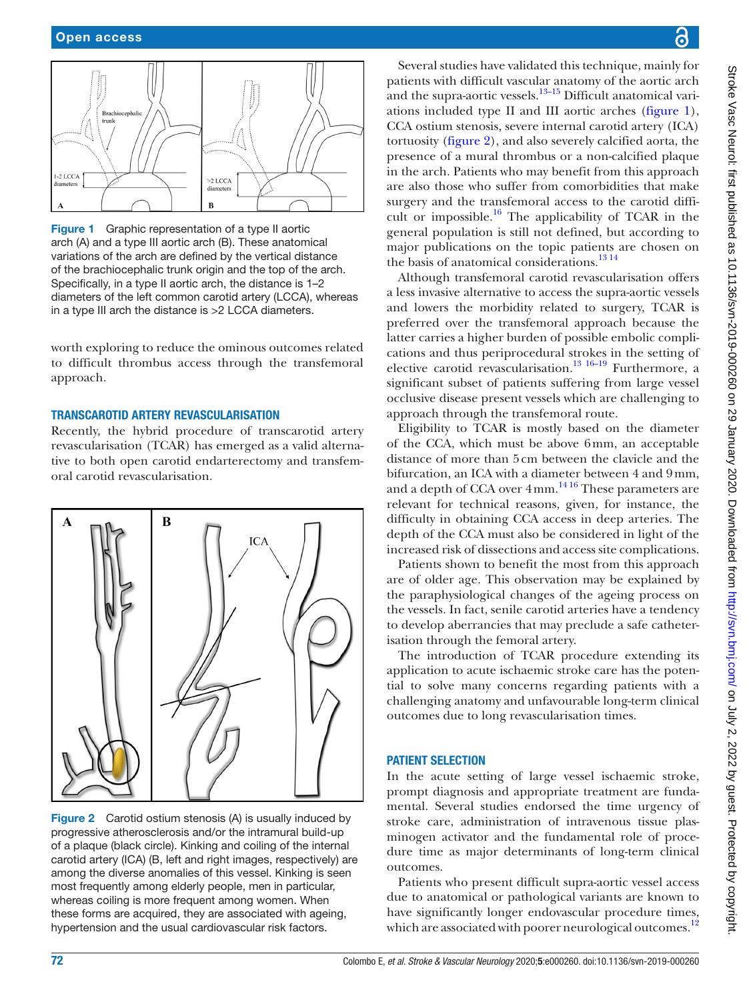

<span id="page-1-0"></span>Figure 1 Graphic representation of a type II aortic arch (A) and a type III aortic arch (B). These anatomical variations of the arch are defined by the vertical distance of the brachiocephalic trunk origin and the top of the arch. Specifically, in a type II aortic arch, the distance is 1–2 diameters of the left common carotid artery (LCCA), whereas in a type III arch the distance is >2 LCCA diameters.

worth exploring to reduce the ominous outcomes related to difficult thrombus access through the transfemoral approach.

### Transcarotid artery revascularisation

Recently, the hybrid procedure of transcarotid artery revascularisation (TCAR) has emerged as a valid alternative to both open carotid endarterectomy and transfemoral carotid revascularisation.



<span id="page-1-1"></span>**Figure 2** Carotid ostium stenosis (A) is usually induced by progressive atherosclerosis and/or the intramural build-up of a plaque (black circle). Kinking and coiling of the internal carotid artery (ICA) (B, left and right images, respectively) are among the diverse anomalies of this vessel. Kinking is seen most frequently among elderly people, men in particular, whereas coiling is more frequent among women. When these forms are acquired, they are associated with ageing, hypertension and the usual cardiovascular risk factors.

Several studies have validated this technique, mainly for patients with difficult vascular anatomy of the aortic arch and the supra-aortic vessels. $13-15$  Difficult anatomical variations included type II and III aortic arches ([figure](#page-1-0) 1), CCA ostium stenosis, severe internal carotid artery (ICA) tortuosity [\(figure](#page-1-1) 2), and also severely calcified aorta, the presence of a mural thrombus or a non-calcified plaque in the arch. Patients who may benefit from this approach are also those who suffer from comorbidities that make surgery and the transfemoral access to the carotid difficult or impossible.<sup>16</sup> The applicability of TCAR in the general population is still not defined, but according to major publications on the topic patients are chosen on the basis of anatomical considerations.<sup>[13 14](#page-8-1)</sup>

Although transfemoral carotid revascularisation offers a less invasive alternative to access the supra-aortic vessels and lowers the morbidity related to surgery, TCAR is preferred over the transfemoral approach because the latter carries a higher burden of possible embolic complications and thus periprocedural strokes in the setting of elective carotid revascularisation.<sup>13</sup> <sup>16–19</sup> Furthermore, a significant subset of patients suffering from large vessel occlusive disease present vessels which are challenging to approach through the transfemoral route.

Eligibility to TCAR is mostly based on the diameter of the CCA, which must be above 6mm, an acceptable distance of more than 5cm between the clavicle and the bifurcation, an ICA with a diameter between 4 and 9mm, and a depth of CCA over  $4 \text{ mm.}^{14 \text{ 16}}$  These parameters are relevant for technical reasons, given, for instance, the difficulty in obtaining CCA access in deep arteries. The depth of the CCA must also be considered in light of the increased risk of dissections and access site complications.

Patients shown to benefit the most from this approach are of older age. This observation may be explained by the paraphysiological changes of the ageing process on the vessels. In fact, senile carotid arteries have a tendency to develop aberrancies that may preclude a safe catheterisation through the femoral artery.

The introduction of TCAR procedure extending its application to acute ischaemic stroke care has the potential to solve many concerns regarding patients with a challenging anatomy and unfavourable long-term clinical outcomes due to long revascularisation times.

## **PATIENT SELECTION**

In the acute setting of large vessel ischaemic stroke, prompt diagnosis and appropriate treatment are fundamental. Several studies endorsed the time urgency of stroke care, administration of intravenous tissue plasminogen activator and the fundamental role of procedure time as major determinants of long-term clinical outcomes.

Patients who present difficult supra-aortic vessel access due to anatomical or pathological variants are known to have significantly longer endovascular procedure times, which are associated with poorer neurological outcomes.<sup>[12](#page-8-0)</sup>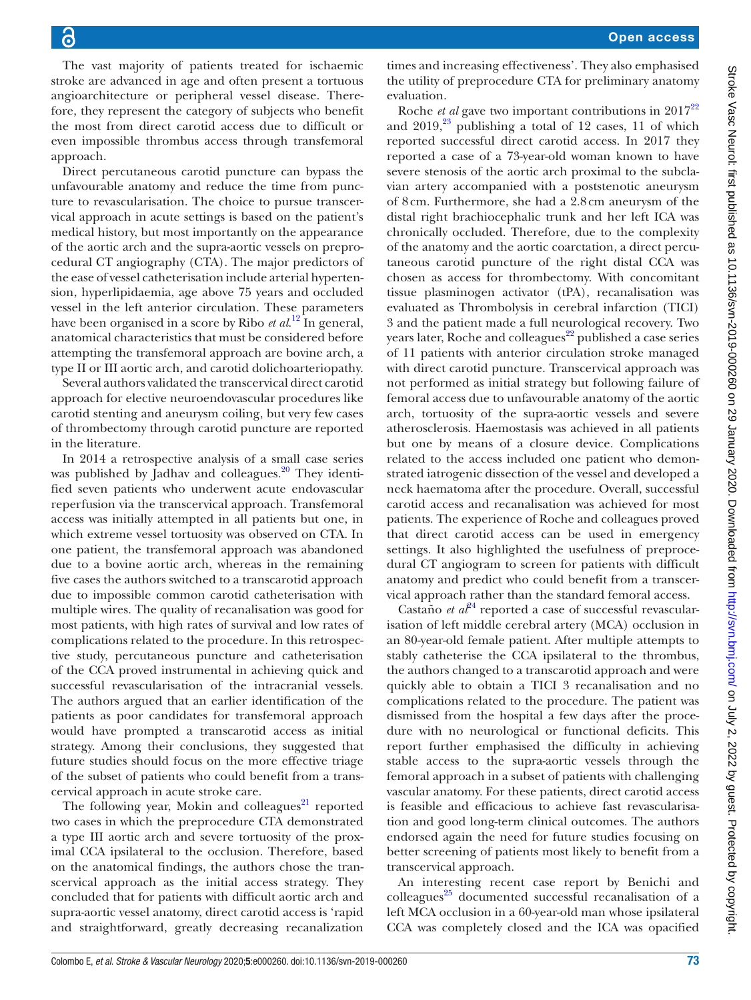The vast majority of patients treated for ischaemic stroke are advanced in age and often present a tortuous angioarchitecture or peripheral vessel disease. Therefore, they represent the category of subjects who benefit the most from direct carotid access due to difficult or even impossible thrombus access through transfemoral approach.

Direct percutaneous carotid puncture can bypass the unfavourable anatomy and reduce the time from puncture to revascularisation. The choice to pursue transcervical approach in acute settings is based on the patient's medical history, but most importantly on the appearance of the aortic arch and the supra-aortic vessels on preprocedural CT angiography (CTA). The major predictors of the ease of vessel catheterisation include arterial hypertension, hyperlipidaemia, age above 75 years and occluded vessel in the left anterior circulation. These parameters have been organised in a score by Ribo *et al*. [12](#page-8-0) In general, anatomical characteristics that must be considered before attempting the transfemoral approach are bovine arch, a type II or III aortic arch, and carotid dolichoarteriopathy.

Several authors validated the transcervical direct carotid approach for elective neuroendovascular procedures like carotid stenting and aneurysm coiling, but very few cases of thrombectomy through carotid puncture are reported in the literature.

In 2014 a retrospective analysis of a small case series was published by Jadhav and colleagues. $20$  They identified seven patients who underwent acute endovascular reperfusion via the transcervical approach. Transfemoral access was initially attempted in all patients but one, in which extreme vessel tortuosity was observed on CTA. In one patient, the transfemoral approach was abandoned due to a bovine aortic arch, whereas in the remaining five cases the authors switched to a transcarotid approach due to impossible common carotid catheterisation with multiple wires. The quality of recanalisation was good for most patients, with high rates of survival and low rates of complications related to the procedure. In this retrospective study, percutaneous puncture and catheterisation of the CCA proved instrumental in achieving quick and successful revascularisation of the intracranial vessels. The authors argued that an earlier identification of the patients as poor candidates for transfemoral approach would have prompted a transcarotid access as initial strategy. Among their conclusions, they suggested that future studies should focus on the more effective triage of the subset of patients who could benefit from a transcervical approach in acute stroke care.

The following year, Mokin and colleagues $^{21}$  reported two cases in which the preprocedure CTA demonstrated a type III aortic arch and severe tortuosity of the proximal CCA ipsilateral to the occlusion. Therefore, based on the anatomical findings, the authors chose the transcervical approach as the initial access strategy. They concluded that for patients with difficult aortic arch and supra-aortic vessel anatomy, direct carotid access is 'rapid and straightforward, greatly decreasing recanalization

times and increasing effectiveness'. They also emphasised the utility of preprocedure CTA for preliminary anatomy evaluation.

Roche *et al* gave two important contributions in 2017<sup>[22](#page-8-6)</sup> and  $2019<sup>23</sup>$  publishing a total of 12 cases, 11 of which reported successful direct carotid access. In 2017 they reported a case of a 73-year-old woman known to have severe stenosis of the aortic arch proximal to the subclavian artery accompanied with a poststenotic aneurysm of 8cm. Furthermore, she had a 2.8cm aneurysm of the distal right brachiocephalic trunk and her left ICA was chronically occluded. Therefore, due to the complexity of the anatomy and the aortic coarctation, a direct percutaneous carotid puncture of the right distal CCA was chosen as access for thrombectomy. With concomitant tissue plasminogen activator (tPA), recanalisation was evaluated as Thrombolysis in cerebral infarction (TICI) 3 and the patient made a full neurological recovery. Two years later, Roche and colleagues<sup>22</sup> published a case series of 11 patients with anterior circulation stroke managed with direct carotid puncture. Transcervical approach was not performed as initial strategy but following failure of femoral access due to unfavourable anatomy of the aortic arch, tortuosity of the supra-aortic vessels and severe atherosclerosis. Haemostasis was achieved in all patients but one by means of a closure device. Complications related to the access included one patient who demonstrated iatrogenic dissection of the vessel and developed a neck haematoma after the procedure. Overall, successful carotid access and recanalisation was achieved for most patients. The experience of Roche and colleagues proved that direct carotid access can be used in emergency settings. It also highlighted the usefulness of preprocedural CT angiogram to screen for patients with difficult anatomy and predict who could benefit from a transcervical approach rather than the standard femoral access.

Castaño *et al*<sup>24</sup> reported a case of successful revascularisation of left middle cerebral artery (MCA) occlusion in an 80-year-old female patient. After multiple attempts to stably catheterise the CCA ipsilateral to the thrombus, the authors changed to a transcarotid approach and were quickly able to obtain a TICI 3 recanalisation and no complications related to the procedure. The patient was dismissed from the hospital a few days after the procedure with no neurological or functional deficits. This report further emphasised the difficulty in achieving stable access to the supra-aortic vessels through the femoral approach in a subset of patients with challenging vascular anatomy. For these patients, direct carotid access is feasible and efficacious to achieve fast revascularisation and good long-term clinical outcomes. The authors endorsed again the need for future studies focusing on better screening of patients most likely to benefit from a transcervical approach.

An interesting recent case report by Benichi and colleagues $^{25}$  documented successful recanalisation of a left MCA occlusion in a 60-year-old man whose ipsilateral CCA was completely closed and the ICA was opacified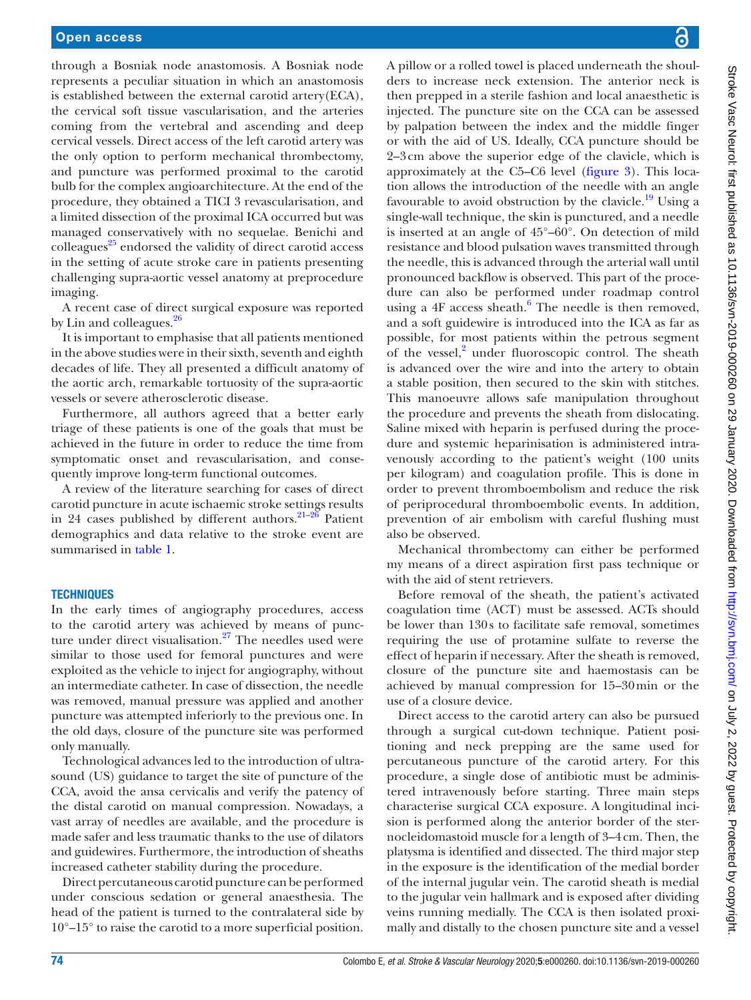through a Bosniak node anastomosis. A Bosniak node represents a peculiar situation in which an anastomosis is established between the external carotid artery(ECA), the cervical soft tissue vascularisation, and the arteries coming from the vertebral and ascending and deep cervical vessels. Direct access of the left carotid artery was the only option to perform mechanical thrombectomy, and puncture was performed proximal to the carotid bulb for the complex angioarchitecture. At the end of the procedure, they obtained a TICI 3 revascularisation, and a limited dissection of the proximal ICA occurred but was managed conservatively with no sequelae. Benichi and colleagues $^{25}$  endorsed the validity of direct carotid access in the setting of acute stroke care in patients presenting challenging supra-aortic vessel anatomy at preprocedure imaging.

A recent case of direct surgical exposure was reported by Lin and colleagues. $26$ 

It is important to emphasise that all patients mentioned in the above studies were in their sixth, seventh and eighth decades of life. They all presented a difficult anatomy of the aortic arch, remarkable tortuosity of the supra-aortic vessels or severe atherosclerotic disease.

Furthermore, all authors agreed that a better early triage of these patients is one of the goals that must be achieved in the future in order to reduce the time from symptomatic onset and revascularisation, and consequently improve long-term functional outcomes.

A review of the literature searching for cases of direct carotid puncture in acute ischaemic stroke settings results in 24 cases published by different authors.  $21-26$  Patient demographics and data relative to the stroke event are summarised in [table](#page-4-0) 1.

# **TECHNIQUES**

In the early times of angiography procedures, access to the carotid artery was achieved by means of puncture under direct visualisation. $27$  The needles used were similar to those used for femoral punctures and were exploited as the vehicle to inject for angiography, without an intermediate catheter. In case of dissection, the needle was removed, manual pressure was applied and another puncture was attempted inferiorly to the previous one. In the old days, closure of the puncture site was performed only manually.

Technological advances led to the introduction of ultrasound (US) guidance to target the site of puncture of the CCA, avoid the ansa cervicalis and verify the patency of the distal carotid on manual compression. Nowadays, a vast array of needles are available, and the procedure is made safer and less traumatic thanks to the use of dilators and guidewires. Furthermore, the introduction of sheaths increased catheter stability during the procedure.

Direct percutaneous carotid puncture can be performed under conscious sedation or general anaesthesia. The head of the patient is turned to the contralateral side by 10°–15° to raise the carotid to a more superficial position.

A pillow or a rolled towel is placed underneath the shoulders to increase neck extension. The anterior neck is then prepped in a sterile fashion and local anaesthetic is injected. The puncture site on the CCA can be assessed by palpation between the index and the middle finger or with the aid of US. Ideally, CCA puncture should be 2–3cm above the superior edge of the clavicle, which is approximately at the C5–C6 level [\(figure](#page-6-0) 3). This location allows the introduction of the needle with an angle favourable to avoid obstruction by the clavicle.<sup>19</sup> Using a single-wall technique, the skin is punctured, and a needle is inserted at an angle of 45°–60°. On detection of mild resistance and blood pulsation waves transmitted through the needle, this is advanced through the arterial wall until pronounced backflow is observed. This part of the procedure can also be performed under roadmap control using a 4F access sheath.<sup>6</sup> The needle is then removed, and a soft guidewire is introduced into the ICA as far as possible, for most patients within the petrous segment of the vessel,<sup>2</sup> under fluoroscopic control. The sheath is advanced over the wire and into the artery to obtain a stable position, then secured to the skin with stitches. This manoeuvre allows safe manipulation throughout the procedure and prevents the sheath from dislocating. Saline mixed with heparin is perfused during the procedure and systemic heparinisation is administered intravenously according to the patient's weight (100 units per kilogram) and coagulation profile. This is done in order to prevent thromboembolism and reduce the risk of periprocedural thromboembolic events. In addition, prevention of air embolism with careful flushing must also be observed.

Mechanical thrombectomy can either be performed my means of a direct aspiration first pass technique or with the aid of stent retrievers.

Before removal of the sheath, the patient's activated coagulation time (ACT) must be assessed. ACTs should be lower than 130s to facilitate safe removal, sometimes requiring the use of protamine sulfate to reverse the effect of heparin if necessary. After the sheath is removed, closure of the puncture site and haemostasis can be achieved by manual compression for 15–30min or the use of a closure device.

Direct access to the carotid artery can also be pursued through a surgical cut-down technique. Patient positioning and neck prepping are the same used for percutaneous puncture of the carotid artery. For this procedure, a single dose of antibiotic must be administered intravenously before starting. Three main steps characterise surgical CCA exposure. A longitudinal incision is performed along the anterior border of the sternocleidomastoid muscle for a length of 3–4cm. Then, the platysma is identified and dissected. The third major step in the exposure is the identification of the medial border of the internal jugular vein. The carotid sheath is medial to the jugular vein hallmark and is exposed after dividing veins running medially. The CCA is then isolated proximally and distally to the chosen puncture site and a vessel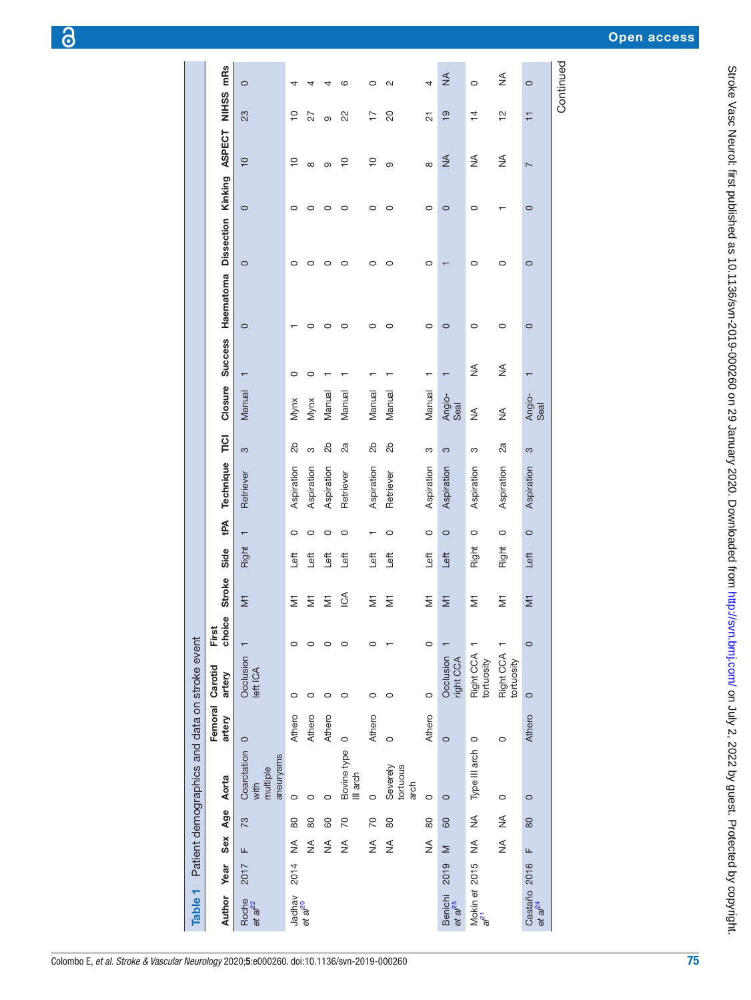<span id="page-4-0"></span>

|                                   |               |    | Table 1 Patient demographics and data on stroke event |                           |                         |                 |                     |             |                |                |                |                |                |           |                           |         |                      |                |                   |
|-----------------------------------|---------------|----|-------------------------------------------------------|---------------------------|-------------------------|-----------------|---------------------|-------------|----------------|----------------|----------------|----------------|----------------|-----------|---------------------------|---------|----------------------|----------------|-------------------|
| Year                              |               |    | Sex Age Aorta                                         | Femoral Carotid<br>artery | artery                  | choice<br>First | <b>Stroke</b>       | Side        | ₽Ã             | Technique TICI |                | Closure        | <b>Success</b> | Haematoma | Dissection Kinking ASPECT |         |                      | NIHSS mRs      |                   |
| щ<br>2017                         |               | 73 | Coarctation<br>aneurysms<br>multiple<br>with          | $\circ$                   | Occlusion<br>left ICA   |                 | $\overline{\Sigma}$ | Right       | $\overline{ }$ | Retriever      | S              | Manual         | ↽              | $\circ$   | $\circ$                   | $\circ$ | $\overline{10}$      | 23             | $\circ$           |
| 2014                              | $\frac{1}{2}$ | 80 | $\circ$                                               | Athero                    | 0                       | 0               | Ξ                   | <b>Left</b> | 0              | Aspiration     | 2 <sub>b</sub> | Mynx           | 0              |           | 0                         | 0       | $\widetilde{C}$      | $\overline{C}$ | 4                 |
|                                   | $\frac{1}{2}$ | 80 | $\circ$                                               | Athero                    | 0                       | 0               | $\overline{\Sigma}$ | Left        | 0              | Aspiration     | S              | Mynx           | 0              | 0         | $\circ$                   | 0       | $\infty$             | 27             |                   |
|                                   | ⋚             | 60 | $\circ$                                               | Athero                    | 0                       | 0               | $\overline{\Sigma}$ | Left        | $\circ$        | Aspiration     | 2 <sub>b</sub> | Manual         |                | 0         | $\circ$                   | $\circ$ | တ                    | တ              |                   |
|                                   | ₹             | 20 | Bovine type<br>III arch                               | $\circ$                   | O                       | 0               | $\overline{5}$      | <b>Hell</b> | $\circ$        | Retriever      | 2a             | Manual         |                | 0         | $\circ$                   | $\circ$ | $\frac{1}{1}$        | 22             | ဖ                 |
|                                   | ₹             | 70 | $\circ$                                               | Athero                    | $\circ$                 | $\circ$         | Ξ                   | <b>Hell</b> |                | Aspiration     | 9p             | Manual         |                | $\circ$   | $\circ$                   | $\circ$ | $\frac{1}{\sqrt{2}}$ | $\overline{1}$ | $\circ$           |
|                                   | ₹             | 80 | tortuous<br>Severely<br>arch                          | $\circ$                   | 0                       |                 | Ξ                   | <b>Left</b> | 0              | Retriever      | Sp             | Manual         |                | $\circ$   | $\circ$                   | $\circ$ | တ                    | 20             | $\mathbf{\Omega}$ |
|                                   | $\frac{1}{2}$ | 80 | $\circ$                                               | Athero                    | $\circ$                 | $\circ$         | $\overline{\Sigma}$ | Left        | $\circ$        | Aspiration     | က              | Manual         | ┯              | $\circ$   | $\circ$                   | $\circ$ | $\infty$             | 24             | 4                 |
| 2019                              | Σ             | 60 | $\circ$                                               | $\circ$                   | Occlusion<br>right CCA  |                 | $\overline{\Sigma}$ | Left        | $\circ$        | Aspiration     | က              | Angio-<br>Seal |                | $\circ$   |                           | $\circ$ | $\frac{4}{2}$        | $\frac{1}{2}$  | ≸                 |
| Mokin et 2015<br>al <sup>21</sup> | ⋚             | ≸  | Type III arch                                         | $\circ$                   | Right CCA<br>tortuosity |                 | Ξ                   | Right       | $\circ$        | Aspiration     | က              | ≸              | ≸              | $\circ$   | $\circ$                   | 0       | ≨                    | $\overline{4}$ | $\circ$           |
|                                   | $\frac{1}{2}$ | ≸  | $\circ$                                               | $\circ$                   | Right CCA<br>tortuosity |                 | Ξ                   | Right       | $\circ$        | Aspiration     | 2a             | ₹              | ≸              | $\circ$   | $\circ$                   |         | ≸                    | $\frac{1}{2}$  | ₹                 |
| щ<br>2016                         |               | 80 | $\circ$                                               | Athero                    | $\circ$                 | $\circ$         | $\overline{\Sigma}$ | Left        | $\circ$        | Aspiration     | S              | Angio-<br>Seal |                | $\circ$   | $\circ$                   | $\circ$ | $\overline{ }$       | $\overline{1}$ | $\circ$           |
|                                   |               |    |                                                       |                           |                         |                 |                     |             |                |                |                |                |                |           |                           |         |                      |                | Continued         |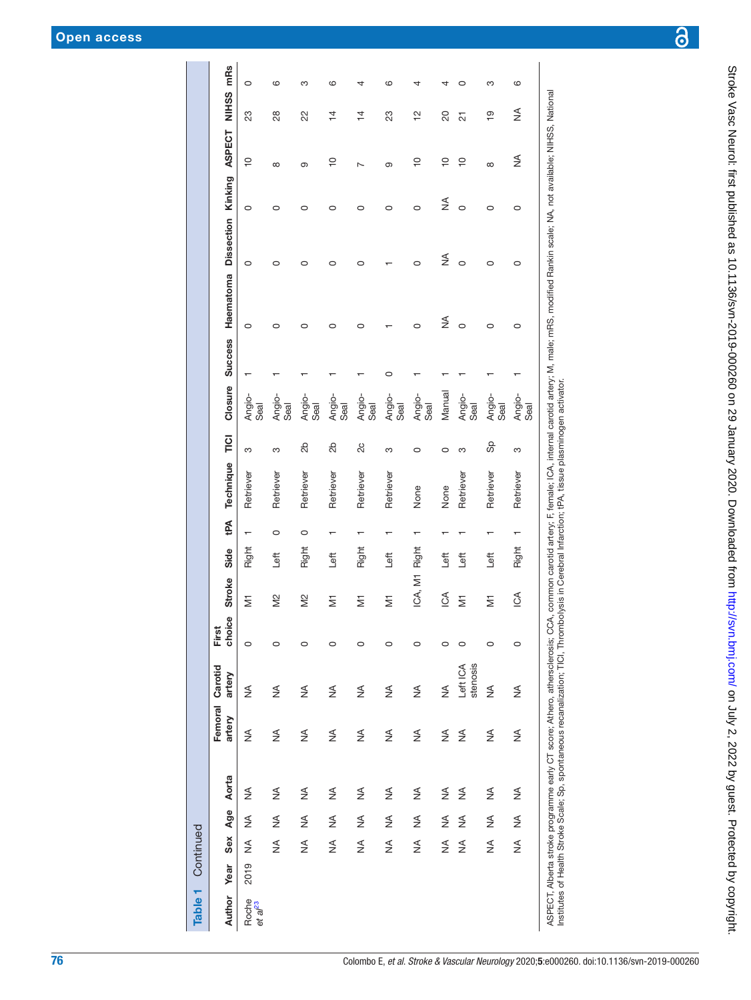| Table 1                      |      | Continued     |     |               |                                                                                                                                                  |                      |                 |                |             |         |           |                |                |                |                                                                                                                                                                                                                                |                    |         |               |                |         |
|------------------------------|------|---------------|-----|---------------|--------------------------------------------------------------------------------------------------------------------------------------------------|----------------------|-----------------|----------------|-------------|---------|-----------|----------------|----------------|----------------|--------------------------------------------------------------------------------------------------------------------------------------------------------------------------------------------------------------------------------|--------------------|---------|---------------|----------------|---------|
| Author                       | Year | Sex           | Age | Aorta         | Femoral Carotid<br>artery                                                                                                                        | artery               | choice<br>First | <b>Stroke</b>  | Side        | ę       | Technique | TICI           | Closure        | <b>Success</b> | Haematoma                                                                                                                                                                                                                      | Dissection Kinking |         | ASPECT        | <b>NIHSS</b>   | mRs     |
| Roche<br>et al <sup>23</sup> | 2019 | ≸             | ≸   | ≨             | ₹                                                                                                                                                | ₹                    | $\circ$         | Ξ              | Right       |         | Retriever | S              | Angio-<br>Seal |                | $\circ$                                                                                                                                                                                                                        | $\circ$            | $\circ$ | $\frac{0}{1}$ | 23             | $\circ$ |
|                              |      | ₹             | ≸   | $\frac{4}{2}$ | ₹                                                                                                                                                | ≸                    | $\circ$         | $\frac{2}{5}$  | Left        | $\circ$ | Retriever | က              | Angio-<br>Seal |                | 0                                                                                                                                                                                                                              | $\circ$            | 0       | $\infty$      | 28             | ဖ       |
|                              |      | ⋚             | ≨   | ₹             | ≨                                                                                                                                                | ≸                    | 0               | $\frac{2}{5}$  | Right       | $\circ$ | Retriever | 2b             | Angio-<br>Seal |                | ○                                                                                                                                                                                                                              | O                  | $\circ$ | တ             | 22             | S       |
|                              |      | ≨             | ₹   | ₹             | ₹                                                                                                                                                | ≸                    | $\circ$         | Ξ              | Left        |         | Retriever | 2b             | Angio-<br>Seal |                | 0                                                                                                                                                                                                                              | $\circ$            | 0       | $\frac{1}{1}$ | $\overline{4}$ | ဖ       |
|                              |      | $\frac{1}{2}$ | ≸   | ≨             | ₹                                                                                                                                                | ≸                    | $\circ$         | Ξ              | Right       |         | Retriever | 2 <sub>C</sub> | Angio-<br>Seal |                | 0                                                                                                                                                                                                                              | 0                  | 0       |               | $\overline{4}$ | 4       |
|                              |      | ₹             | ≸   | ≨             | ₹                                                                                                                                                | ≸                    | $\circ$         | Ξ              | Left        |         | Retriever | S              | Angio-<br>Seal | 0              |                                                                                                                                                                                                                                |                    | $\circ$ | တ             | 23             | ဖ       |
|                              |      | ⋚             | ≸   | ≨             | ₹                                                                                                                                                | ≸                    | 0               | ICA, M1 Right  |             |         | None      | $\circ$        | Angio-<br>Seal |                | $\circ$                                                                                                                                                                                                                        | $\circ$            | $\circ$ | $\frac{0}{1}$ | $\tilde{c}$    | 4       |
|                              |      | $\frac{4}{2}$ | ₹   | ₹             | $\stackrel{\triangle}{\geq}$                                                                                                                     | ₹                    | $\circ$         | S              | <b>Hell</b> |         | None      | $\circ$        | Manual         |                | ₹                                                                                                                                                                                                                              | ₹                  | ₹       | $\frac{1}{1}$ | 20             |         |
|                              |      | ≨             | ≸   | ≨             | ₹                                                                                                                                                | stenosis<br>Left ICA | $\circ$         | Ξ              | Left        |         | Retriever | S              | Angio-<br>Seal |                | $\circ$                                                                                                                                                                                                                        | $\circ$            | $\circ$ | $\frac{0}{1}$ | 24             | 0       |
|                              |      | $\frac{1}{2}$ | ≸   | ≨             | ₹                                                                                                                                                | ₹                    | 0               | Ξ              | <b>Fel</b>  |         | Retriever | မိ             | Angio-<br>Seal |                | $\circ$                                                                                                                                                                                                                        | $\circ$            | $\circ$ | $\infty$      | $\frac{1}{2}$  | ო       |
|                              |      | $\frac{1}{2}$ | ⋚   | ≨             | ≨                                                                                                                                                | ₹                    | $\circ$         | $\mathfrak{S}$ | Right       |         | Retriever | S              | Angio-<br>Seal |                | $\circ$                                                                                                                                                                                                                        | $\circ$            | $\circ$ | ≸             | ≸              | ဖ       |
|                              |      |               |     |               | Institutes of Health Stroke Scale; Sp. spontaneous recanalization; TICI, Thrombolysis in Cerebral Infarction; tPA, tissue plasminogen activator. |                      |                 |                |             |         |           |                |                |                | ASPECT, Alberta stroke programme early CT score; Athero, athersclerce, athersclerceis; CCA, common carotid artery; F, female; ICA, internal carotid artery; M, male; mRS, modified Rankin scale; NA, not available; NIHSS, Nat |                    |         |               |                |         |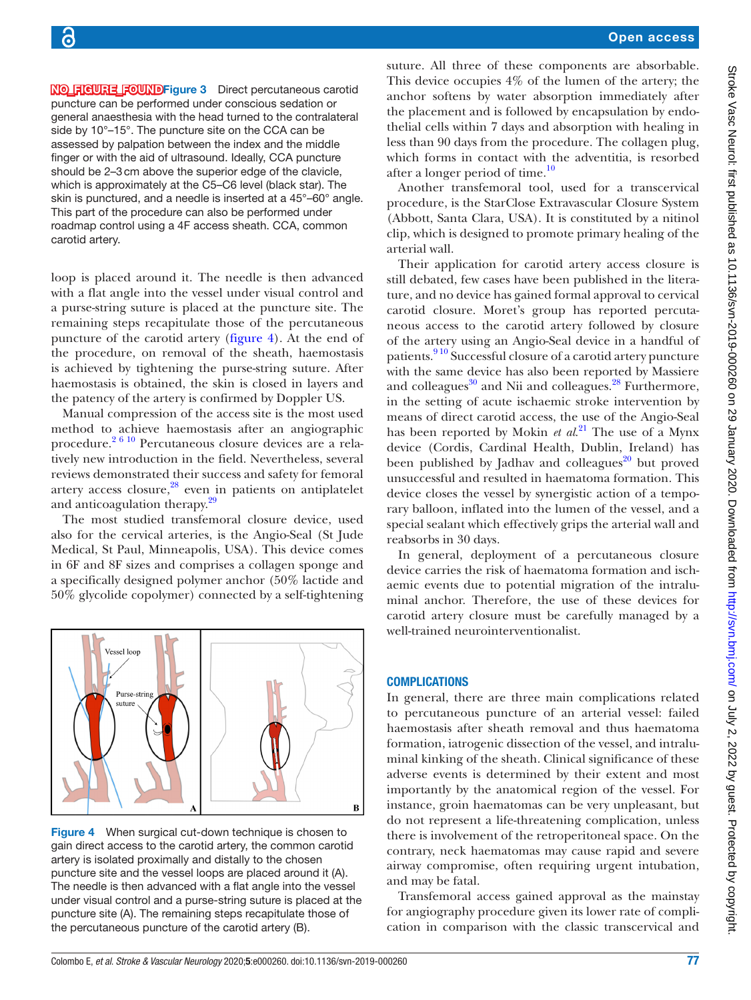NO FIGURE FOUNDFigure 3 Direct percutaneous carotid puncture can be performed under conscious sedation or general anaesthesia with the head turned to the contralateral side by 10°–15°. The puncture site on the CCA can be assessed by palpation between the index and the middle finger or with the aid of ultrasound. Ideally, CCA puncture should be 2–3cm above the superior edge of the clavicle, which is approximately at the C5–C6 level (black star). The skin is punctured, and a needle is inserted at a 45°–60° angle. This part of the procedure can also be performed under roadmap control using a 4F access sheath. CCA, common carotid artery.

loop is placed around it. The needle is then advanced with a flat angle into the vessel under visual control and a purse-string suture is placed at the puncture site. The remaining steps recapitulate those of the percutaneous puncture of the carotid artery [\(figure](#page-6-1) 4). At the end of the procedure, on removal of the sheath, haemostasis is achieved by tightening the purse-string suture. After haemostasis is obtained, the skin is closed in layers and the patency of the artery is confirmed by Doppler US.

Manual compression of the access site is the most used method to achieve haemostasis after an angiographic procedure.[2 6 10](#page-7-1) Percutaneous closure devices are a relatively new introduction in the field. Nevertheless, several reviews demonstrated their success and safety for femoral artery access closure, $^{28}$  even in patients on antiplatelet and anticoagulation therapy.<sup>29</sup>

The most studied transfemoral closure device, used also for the cervical arteries, is the Angio-Seal (St Jude Medical, St Paul, Minneapolis, USA). This device comes in 6F and 8F sizes and comprises a collagen sponge and a specifically designed polymer anchor (50% lactide and 50% glycolide copolymer) connected by a self-tightening



<span id="page-6-1"></span>Figure 4 When surgical cut-down technique is chosen to gain direct access to the carotid artery, the common carotid artery is isolated proximally and distally to the chosen puncture site and the vessel loops are placed around it (A). The needle is then advanced with a flat angle into the vessel under visual control and a purse-string suture is placed at the puncture site (A). The remaining steps recapitulate those of the percutaneous puncture of the carotid artery (B).

<span id="page-6-0"></span>suture. All three of these components are absorbable. This device occupies 4% of the lumen of the artery; the anchor softens by water absorption immediately after the placement and is followed by encapsulation by endothelial cells within 7 days and absorption with healing in less than 90 days from the procedure. The collagen plug, which forms in contact with the adventitia, is resorbed after a longer period of time. $^{10}$ 

Another transfemoral tool, used for a transcervical procedure, is the StarClose Extravascular Closure System (Abbott, Santa Clara, USA). It is constituted by a nitinol clip, which is designed to promote primary healing of the arterial wall.

Their application for carotid artery access closure is still debated, few cases have been published in the literature, and no device has gained formal approval to cervical carotid closure. Moret's group has reported percutaneous access to the carotid artery followed by closure of the artery using an Angio-Seal device in a handful of patients.<sup>910</sup> Successful closure of a carotid artery puncture with the same device has also been reported by Massiere and colleagues $^{30}$  and Nii and colleagues. $^{28}$  $^{28}$  $^{28}$  Furthermore, in the setting of acute ischaemic stroke intervention by means of direct carotid access, the use of the Angio-Seal has been reported by Mokin *et al*. [21](#page-8-5) The use of a Mynx device (Cordis, Cardinal Health, Dublin, Ireland) has been published by Jadhav and colleagues $^{20}$  $^{20}$  $^{20}$  but proved unsuccessful and resulted in haematoma formation. This device closes the vessel by synergistic action of a temporary balloon, inflated into the lumen of the vessel, and a special sealant which effectively grips the arterial wall and reabsorbs in 30 days.

In general, deployment of a percutaneous closure device carries the risk of haematoma formation and ischaemic events due to potential migration of the intraluminal anchor. Therefore, the use of these devices for carotid artery closure must be carefully managed by a well-trained neurointerventionalist.

# **COMPLICATIONS**

In general, there are three main complications related to percutaneous puncture of an arterial vessel: failed haemostasis after sheath removal and thus haematoma formation, iatrogenic dissection of the vessel, and intraluminal kinking of the sheath. Clinical significance of these adverse events is determined by their extent and most importantly by the anatomical region of the vessel. For instance, groin haematomas can be very unpleasant, but do not represent a life-threatening complication, unless there is involvement of the retroperitoneal space. On the contrary, neck haematomas may cause rapid and severe airway compromise, often requiring urgent intubation, and may be fatal.

Transfemoral access gained approval as the mainstay for angiography procedure given its lower rate of complication in comparison with the classic transcervical and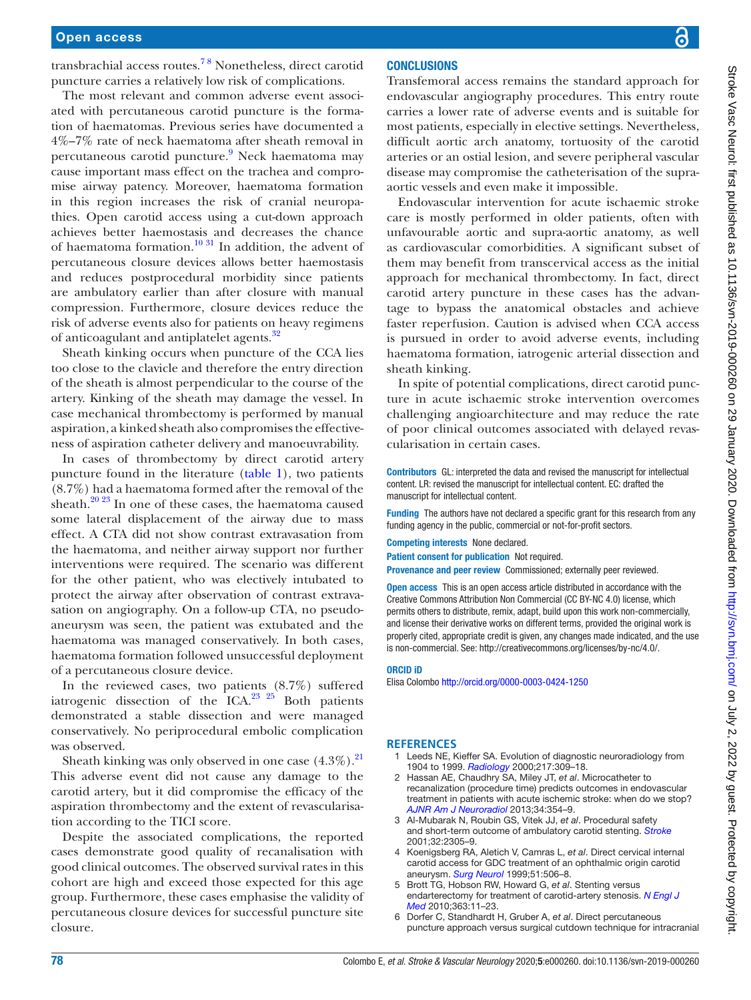transbrachial access routes[.7 8](#page-8-18) Nonetheless, direct carotid puncture carries a relatively low risk of complications.

The most relevant and common adverse event associated with percutaneous carotid puncture is the formation of haematomas. Previous series have documented a 4%–7% rate of neck haematoma after sheath removal in percutaneous carotid puncture.<sup>9</sup> Neck haematoma may cause important mass effect on the trachea and compromise airway patency. Moreover, haematoma formation in this region increases the risk of cranial neuropathies. Open carotid access using a cut-down approach achieves better haemostasis and decreases the chance of haematoma formation.<sup>10 31</sup> In addition, the advent of percutaneous closure devices allows better haemostasis and reduces postprocedural morbidity since patients are ambulatory earlier than after closure with manual compression. Furthermore, closure devices reduce the risk of adverse events also for patients on heavy regimens of anticoagulant and antiplatelet agents.<sup>[32](#page-8-19)</sup>

Sheath kinking occurs when puncture of the CCA lies too close to the clavicle and therefore the entry direction of the sheath is almost perpendicular to the course of the artery. Kinking of the sheath may damage the vessel. In case mechanical thrombectomy is performed by manual aspiration, a kinked sheath also compromises the effectiveness of aspiration catheter delivery and manoeuvrability.

In cases of thrombectomy by direct carotid artery puncture found in the literature ([table](#page-4-0) 1), two patients (8.7%) had a haematoma formed after the removal of the sheath.<sup>[20 23](#page-8-4)</sup> In one of these cases, the haematoma caused some lateral displacement of the airway due to mass effect. A CTA did not show contrast extravasation from the haematoma, and neither airway support nor further interventions were required. The scenario was different for the other patient, who was electively intubated to protect the airway after observation of contrast extravasation on angiography. On a follow-up CTA, no pseudoaneurysm was seen, the patient was extubated and the haematoma was managed conservatively. In both cases, haematoma formation followed unsuccessful deployment of a percutaneous closure device.

In the reviewed cases, two patients  $(8.7\%)$  suffered iatrogenic dissection of the  $ICA^{23}$   $25$  Both patients demonstrated a stable dissection and were managed conservatively. No periprocedural embolic complication was observed.

Sheath kinking was only observed in one case  $(4.3\%)$ .<sup>21</sup> This adverse event did not cause any damage to the carotid artery, but it did compromise the efficacy of the aspiration thrombectomy and the extent of revascularisation according to the TICI score.

Despite the associated complications, the reported cases demonstrate good quality of recanalisation with good clinical outcomes. The observed survival rates in this cohort are high and exceed those expected for this age group. Furthermore, these cases emphasise the validity of percutaneous closure devices for successful puncture site closure.

# **CONCLUSIONS**

Transfemoral access remains the standard approach for endovascular angiography procedures. This entry route carries a lower rate of adverse events and is suitable for most patients, especially in elective settings. Nevertheless, difficult aortic arch anatomy, tortuosity of the carotid arteries or an ostial lesion, and severe peripheral vascular disease may compromise the catheterisation of the supraaortic vessels and even make it impossible.

Endovascular intervention for acute ischaemic stroke care is mostly performed in older patients, often with unfavourable aortic and supra-aortic anatomy, as well as cardiovascular comorbidities. A significant subset of them may benefit from transcervical access as the initial approach for mechanical thrombectomy. In fact, direct carotid artery puncture in these cases has the advantage to bypass the anatomical obstacles and achieve faster reperfusion. Caution is advised when CCA access is pursued in order to avoid adverse events, including haematoma formation, iatrogenic arterial dissection and sheath kinking.

In spite of potential complications, direct carotid puncture in acute ischaemic stroke intervention overcomes challenging angioarchitecture and may reduce the rate of poor clinical outcomes associated with delayed revascularisation in certain cases.

Contributors GL: interpreted the data and revised the manuscript for intellectual content. LR: revised the manuscript for intellectual content. EC: drafted the manuscript for intellectual content.

Funding The authors have not declared a specific grant for this research from any funding agency in the public, commercial or not-for-profit sectors.

Competing interests None declared.

Patient consent for publication Not required.

Provenance and peer review Commissioned; externally peer reviewed.

Open access This is an open access article distributed in accordance with the Creative Commons Attribution Non Commercial (CC BY-NC 4.0) license, which permits others to distribute, remix, adapt, build upon this work non-commercially, and license their derivative works on different terms, provided the original work is properly cited, appropriate credit is given, any changes made indicated, and the use is non-commercial. See: [http://creativecommons.org/licenses/by-nc/4.0/.](http://creativecommons.org/licenses/by-nc/4.0/)

#### ORCID iD

Elisa Colombo<http://orcid.org/0000-0003-0424-1250>

#### <span id="page-7-0"></span>**References**

- 1 Leeds NE, Kieffer SA. Evolution of diagnostic neuroradiology from 1904 to 1999. *[Radiology](http://dx.doi.org/10.1148/radiology.217.2.r00nv45309)* 2000;217:309–18.
- <span id="page-7-1"></span>2 Hassan AE, Chaudhry SA, Miley JT, *et al*. Microcatheter to recanalization (procedure time) predicts outcomes in endovascular treatment in patients with acute ischemic stroke: when do we stop? *[AJNR Am J Neuroradiol](http://dx.doi.org/10.3174/ajnr.A3202)* 2013;34:354–9.
- <span id="page-7-2"></span>3 Al-Mubarak N, Roubin GS, Vitek JJ, *et al*. Procedural safety and short-term outcome of ambulatory carotid stenting. *[Stroke](http://dx.doi.org/10.1161/hs1001.096005)* 2001;32:2305–9.
- 4 Koenigsberg RA, Aletich V, Camras L, *et al*. Direct cervical internal carotid access for GDC treatment of an ophthalmic origin carotid aneurysm. *[Surg Neurol](http://dx.doi.org/10.1016/S0090-3019(98)00030-5)* 1999;51:506–8.
- <span id="page-7-3"></span>5 Brott TG, Hobson RW, Howard G, *et al*. Stenting versus endarterectomy for treatment of carotid-artery stenosis. *[N Engl J](http://dx.doi.org/10.1056/NEJMoa0912321)  [Med](http://dx.doi.org/10.1056/NEJMoa0912321)* 2010;363:11–23.
- <span id="page-7-4"></span>6 Dorfer C, Standhardt H, Gruber A, *et al*. Direct percutaneous puncture approach versus surgical cutdown technique for intracranial